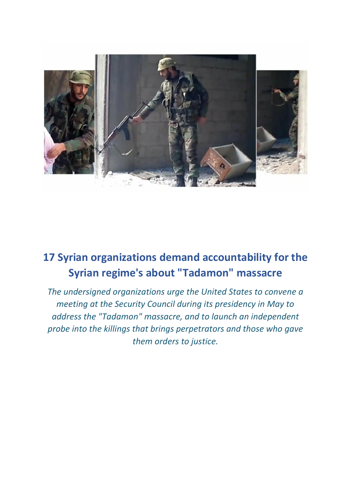

## **17 Syrian organizations demand accountability for the Syrian regime's about "Tadamon" massacre**

*The undersigned organizations urge the United States to convene a meeting at the Security Council during its presidency in May to address the "Tadamon" massacre, and to launch an independent probe into the killings that brings perpetrators and those who gave them orders to justice.*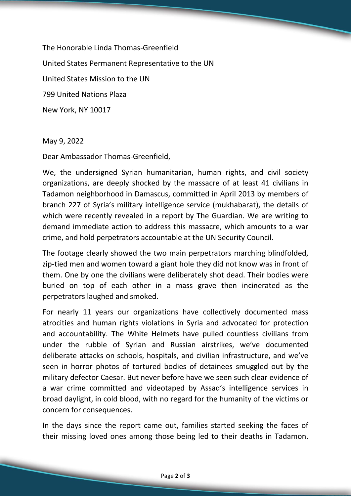The Honorable Linda Thomas-Greenfield United States Permanent Representative to the UN United States Mission to the UN 799 United Nations Plaza New York, NY 10017

May 9, 2022

Dear Ambassador Thomas-Greenfield,

We, the undersigned Syrian humanitarian, human rights, and civil society organizations, are deeply shocked by the massacre of at least 41 civilians in Tadamon neighborhood in Damascus, committed in April 2013 by members of branch 227 of Syria's military intelligence service (mukhabarat), the details of which were recently revealed in a report by The Guardian. We are writing to demand immediate action to address this massacre, which amounts to a war crime, and hold perpetrators accountable at the UN Security Council.

The footage clearly showed the two main perpetrators marching blindfolded, zip-tied men and women toward a giant hole they did not know was in front of them. One by one the civilians were deliberately shot dead. Their bodies were buried on top of each other in a mass grave then incinerated as the perpetrators laughed and smoked.

For nearly 11 years our organizations have collectively documented mass atrocities and human rights violations in Syria and advocated for protection and accountability. The White Helmets have pulled countless civilians from under the rubble of Syrian and Russian airstrikes, we've documented deliberate attacks on schools, hospitals, and civilian infrastructure, and we've seen in horror photos of tortured bodies of detainees smuggled out by the military defector Caesar. But never before have we seen such clear evidence of a war crime committed and videotaped by Assad's intelligence services in broad daylight, in cold blood, with no regard for the humanity of the victims or concern for consequences.

In the days since the report came out, families started seeking the faces of their missing loved ones among those being led to their deaths in Tadamon.